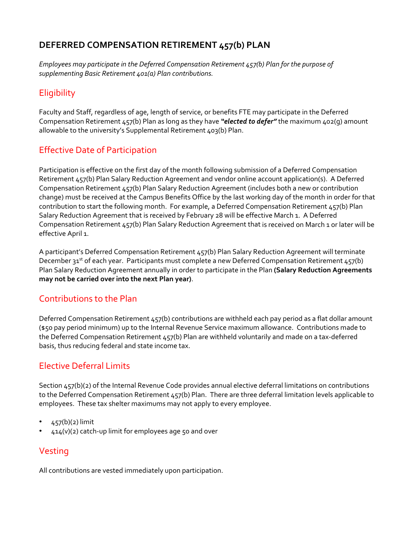## **DEFERRED COMPENSATION RETIREMENT 457(b) PLAN**

*Employees may participate in the Deferred Compensation Retirement 457(b) Plan for the purpose of supplementing Basic Retirement 401(a) Plan contributions.*

# **Eligibility**

Faculty and Staff, regardless of age, length of service, or benefits FTE may participate in the Deferred Compensation Retirement 457(b) Plan as long as they have *"elected to defer"* the maximum 402(g) amount allowable to the university's Supplemental Retirement 403(b) Plan.

## Effective Date of Participation

Participation is effective on the first day of the month following submission of a Deferred Compensation Retirement 457(b) Plan Salary Reduction Agreement and vendor online account application(s). A Deferred Compensation Retirement 457(b) Plan Salary Reduction Agreement (includes both a new or contribution change) must be received at the Campus Benefits Office by the last working day of the month in order for that contribution to start the following month. For example, a Deferred Compensation Retirement 457(b) Plan Salary Reduction Agreement that is received by February 28 will be effective March 1. A Deferred Compensation Retirement 457(b) Plan Salary Reduction Agreement that is received on March 1 or later will be effective April 1.

A participant's Deferred Compensation Retirement 457(b) Plan Salary Reduction Agreement will terminate December 31<sup>st</sup> of each year. Participants must complete a new Deferred Compensation Retirement 457(b) Plan Salary Reduction Agreement annually in order to participate in the Plan **(Salary Reduction Agreements may not be carried over into the next Plan year)**.

## Contributions to the Plan

Deferred Compensation Retirement 457(b) contributions are withheld each pay period as a flat dollar amount (\$50 pay period minimum) up to the Internal Revenue Service maximum allowance. Contributions made to the Deferred Compensation Retirement 457(b) Plan are withheld voluntarily and made on a tax‐deferred basis, thus reducing federal and state income tax.

## Elective Deferral Limits

Section 457(b)(2) of the Internal Revenue Code provides annual elective deferral limitations on contributions to the Deferred Compensation Retirement 457(b) Plan. There are three deferral limitation levels applicable to employees. These tax shelter maximums may not apply to every employee.

- $457(b)(2)$  limit
- $414(v)(2)$  catch-up limit for employees age 50 and over

## Vesting

All contributions are vested immediately upon participation.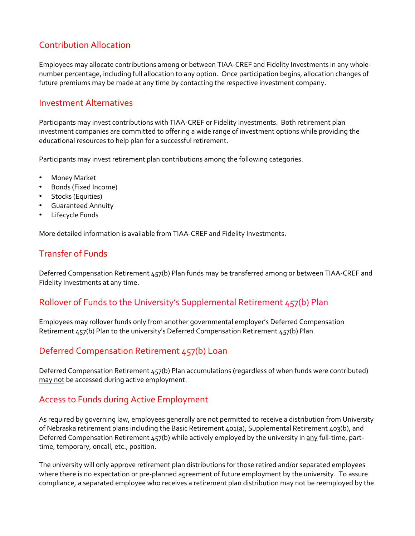## Contribution Allocation

Employees may allocate contributions among or between TIAA‐CREF and Fidelity Investments in any whole‐ number percentage, including full allocation to any option. Once participation begins, allocation changes of future premiums may be made at any time by contacting the respective investment company.

#### Investment Alternatives

Participants may invest contributions with TIAA‐CREF or Fidelity Investments. Both retirement plan investment companies are committed to offering a wide range of investment options while providing the educational resources to help plan for a successful retirement.

Participants may invest retirement plan contributions among the following categories.

- Money Market
- Bonds (Fixed Income)
- Stocks (Equities)
- Guaranteed Annuity
- Lifecycle Funds

More detailed information is available from TIAA‐CREF and Fidelity Investments.

#### Transfer of Funds

Deferred Compensation Retirement 457(b) Plan funds may be transferred among or between TIAA-CREF and Fidelity Investments at any time.

#### Rollover of Funds to the University's Supplemental Retirement 457(b) Plan

Employees may rollover funds only from another governmental employer's Deferred Compensation Retirement 457(b) Plan to the university's Deferred Compensation Retirement 457(b) Plan.

#### Deferred Compensation Retirement 457(b) Loan

Deferred Compensation Retirement 457(b) Plan accumulations (regardless of when funds were contributed) may not be accessed during active employment.

#### Access to Funds during Active Employment

As required by governing law, employees generally are not permitted to receive a distribution from University of Nebraska retirement plans including the Basic Retirement 401(a), Supplemental Retirement 403(b), and Deferred Compensation Retirement 457(b) while actively employed by the university in any full-time, parttime, temporary, oncall, etc., position.

The university will only approve retirement plan distributions for those retired and/or separated employees where there is no expectation or pre-planned agreement of future employment by the university. To assure compliance, a separated employee who receives a retirement plan distribution may not be reemployed by the